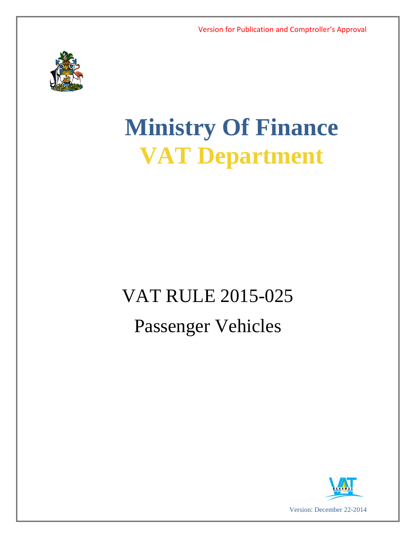

# **Ministry Of Finance VAT Department**

## VAT RULE 2015-025 Passenger Vehicles

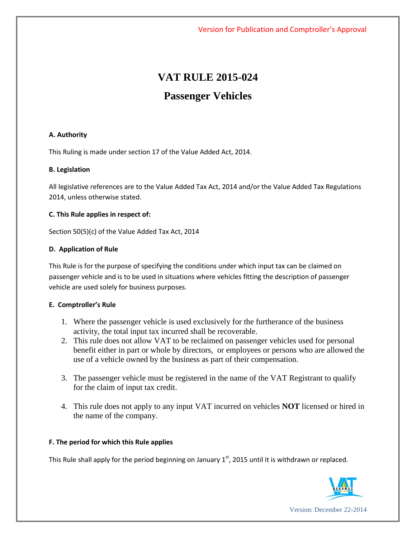### **VAT RULE 2015-024 Passenger Vehicles**

#### **A. Authority**

This Ruling is made under section 17 of the Value Added Act, 2014.

#### **B. Legislation**

All legislative references are to the Value Added Tax Act, 2014 and/or the Value Added Tax Regulations 2014, unless otherwise stated.

#### **C. This Rule applies in respect of:**

Section 50(5)(c) of the Value Added Tax Act, 2014

#### **D. Application of Rule**

This Rule is for the purpose of specifying the conditions under which input tax can be claimed on passenger vehicle and is to be used in situations where vehicles fitting the description of passenger vehicle are used solely for business purposes.

#### **E. Comptroller's Rule**

- 1. Where the passenger vehicle is used exclusively for the furtherance of the business activity, the total input tax incurred shall be recoverable.
- 2. This rule does not allow VAT to be reclaimed on passenger vehicles used for personal benefit either in part or whole by directors, or employees or persons who are allowed the use of a vehicle owned by the business as part of their compensation.
- 3. The passenger vehicle must be registered in the name of the VAT Registrant to qualify for the claim of input tax credit.
- 4. This rule does not apply to any input VAT incurred on vehicles **NOT** licensed or hired in the name of the company.

#### **F. The period for which this Rule applies**

This Rule shall apply for the period beginning on January  $1<sup>st</sup>$ , 2015 until it is withdrawn or replaced.